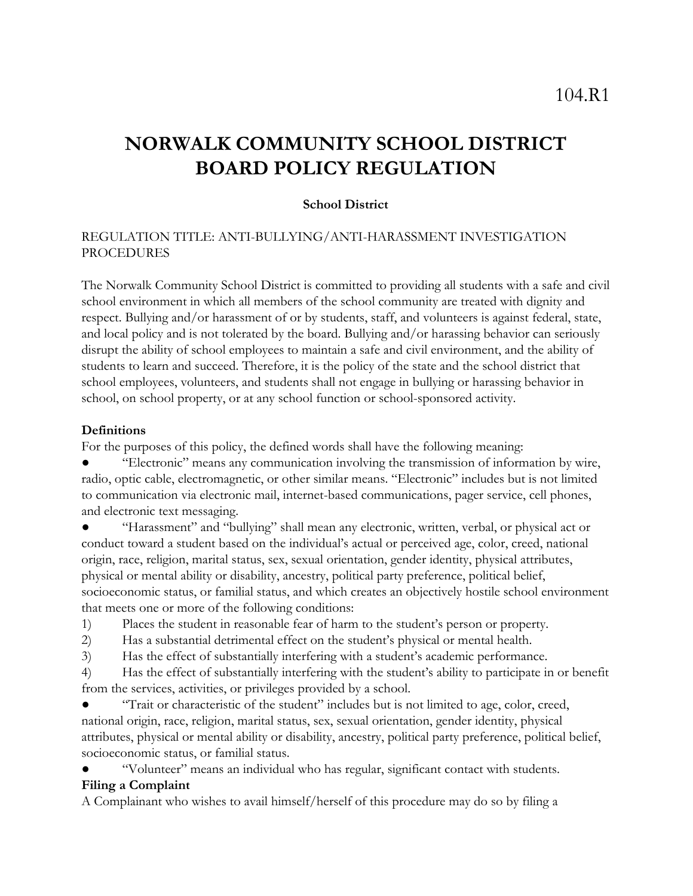# **NORWALK COMMUNITY SCHOOL DISTRICT BOARD POLICY REGULATION**

### **School District**

## REGULATION TITLE: ANTI-BULLYING/ANTI-HARASSMENT INVESTIGATION PROCEDURES

The Norwalk Community School District is committed to providing all students with a safe and civil school environment in which all members of the school community are treated with dignity and respect. Bullying and/or harassment of or by students, staff, and volunteers is against federal, state, and local policy and is not tolerated by the board. Bullying and/or harassing behavior can seriously disrupt the ability of school employees to maintain a safe and civil environment, and the ability of students to learn and succeed. Therefore, it is the policy of the state and the school district that school employees, volunteers, and students shall not engage in bullying or harassing behavior in school, on school property, or at any school function or school-sponsored activity.

#### **Definitions**

For the purposes of this policy, the defined words shall have the following meaning:

"Electronic" means any communication involving the transmission of information by wire, radio, optic cable, electromagnetic, or other similar means. "Electronic" includes but is not limited to communication via electronic mail, internet-based communications, pager service, cell phones, and electronic text messaging.

"Harassment" and "bullying" shall mean any electronic, written, verbal, or physical act or conduct toward a student based on the individual's actual or perceived age, color, creed, national origin, race, religion, marital status, sex, sexual orientation, gender identity, physical attributes, physical or mental ability or disability, ancestry, political party preference, political belief, socioeconomic status, or familial status, and which creates an objectively hostile school environment that meets one or more of the following conditions:

- 1) Places the student in reasonable fear of harm to the student's person or property.
- 2) Has a substantial detrimental effect on the student's physical or mental health.
- 3) Has the effect of substantially interfering with a student's academic performance.

4) Has the effect of substantially interfering with the student's ability to participate in or benefit from the services, activities, or privileges provided by a school.

"Trait or characteristic of the student" includes but is not limited to age, color, creed, national origin, race, religion, marital status, sex, sexual orientation, gender identity, physical attributes, physical or mental ability or disability, ancestry, political party preference, political belief, socioeconomic status, or familial status.

"Volunteer" means an individual who has regular, significant contact with students.

## **Filing a Complaint**

A Complainant who wishes to avail himself/herself of this procedure may do so by filing a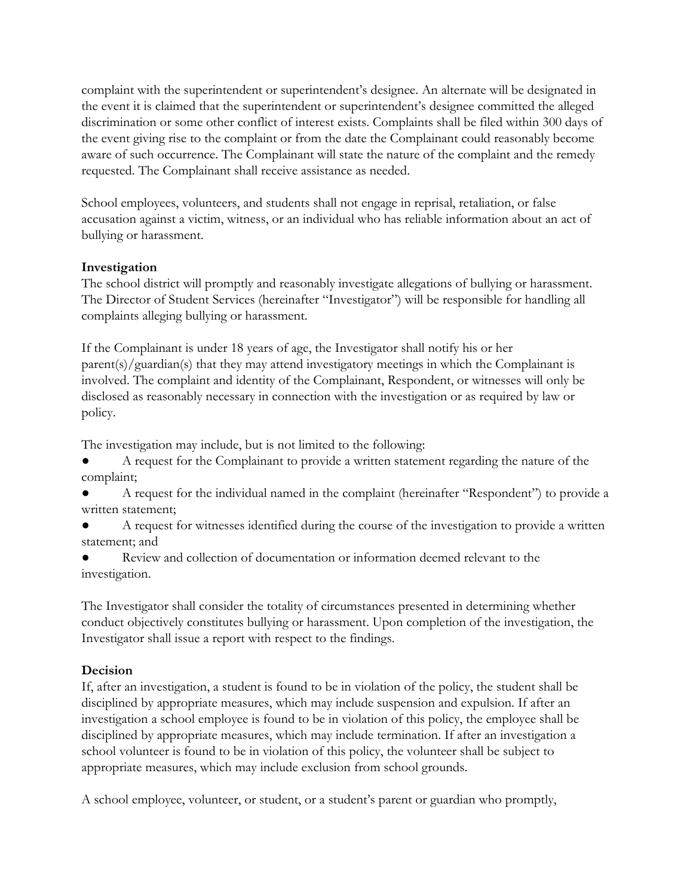complaint with the superintendent or superintendent's designee. An alternate will be designated in the event it is claimed that the superintendent or superintendent's designee committed the alleged discrimination or some other conflict of interest exists. Complaints shall be filed within 300 days of the event giving rise to the complaint or from the date the Complainant could reasonably become aware of such occurrence. The Complainant will state the nature of the complaint and the remedy requested. The Complainant shall receive assistance as needed.

School employees, volunteers, and students shall not engage in reprisal, retaliation, or false accusation against a victim, witness, or an individual who has reliable information about an act of bullying or harassment.

## **Investigation**

The school district will promptly and reasonably investigate allegations of bullying or harassment. The Director of Student Services (hereinafter "Investigator") will be responsible for handling all complaints alleging bullying or harassment.

If the Complainant is under 18 years of age, the Investigator shall notify his or her parent(s)/guardian(s) that they may attend investigatory meetings in which the Complainant is involved. The complaint and identity of the Complainant, Respondent, or witnesses will only be disclosed as reasonably necessary in connection with the investigation or as required by law or policy.

The investigation may include, but is not limited to the following:

A request for the Complainant to provide a written statement regarding the nature of the complaint;

A request for the individual named in the complaint (hereinafter "Respondent") to provide a written statement;

A request for witnesses identified during the course of the investigation to provide a written statement; and

Review and collection of documentation or information deemed relevant to the investigation.

The Investigator shall consider the totality of circumstances presented in determining whether conduct objectively constitutes bullying or harassment. Upon completion of the investigation, the Investigator shall issue a report with respect to the findings.

# **Decision**

If, after an investigation, a student is found to be in violation of the policy, the student shall be disciplined by appropriate measures, which may include suspension and expulsion. If after an investigation a school employee is found to be in violation of this policy, the employee shall be disciplined by appropriate measures, which may include termination. If after an investigation a school volunteer is found to be in violation of this policy, the volunteer shall be subject to appropriate measures, which may include exclusion from school grounds.

A school employee, volunteer, or student, or a student's parent or guardian who promptly,